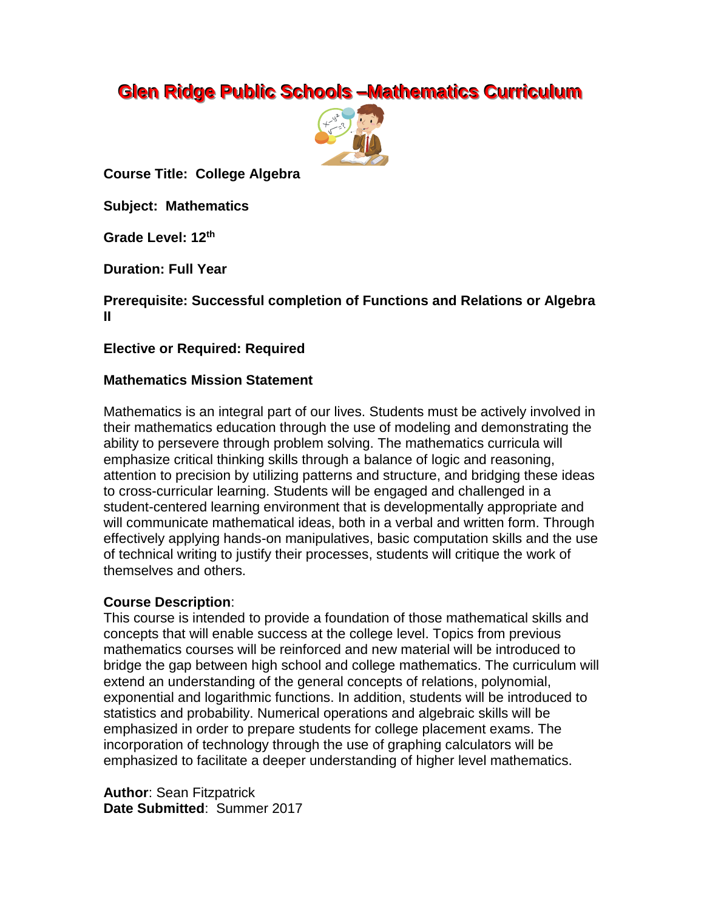# **Glen Ridge Public Schools -Mathematics Curriculum**



**Course Title: College Algebra**

**Subject: Mathematics**

**Grade Level: 12 th**

**Duration: Full Year**

**Prerequisite: Successful completion of Functions and Relations or Algebra II**

**Elective or Required: Required**

### **Mathematics Mission Statement**

Mathematics is an integral part of our lives. Students must be actively involved in their mathematics education through the use of modeling and demonstrating the ability to persevere through problem solving. The mathematics curricula will emphasize critical thinking skills through a balance of logic and reasoning, attention to precision by utilizing patterns and structure, and bridging these ideas to cross-curricular learning. Students will be engaged and challenged in a student-centered learning environment that is developmentally appropriate and will communicate mathematical ideas, both in a verbal and written form. Through effectively applying hands-on manipulatives, basic computation skills and the use of technical writing to justify their processes, students will critique the work of themselves and others.

# **Course Description**:

This course is intended to provide a foundation of those mathematical skills and concepts that will enable success at the college level. Topics from previous mathematics courses will be reinforced and new material will be introduced to bridge the gap between high school and college mathematics. The curriculum will extend an understanding of the general concepts of relations, polynomial, exponential and logarithmic functions. In addition, students will be introduced to statistics and probability. Numerical operations and algebraic skills will be emphasized in order to prepare students for college placement exams. The incorporation of technology through the use of graphing calculators will be emphasized to facilitate a deeper understanding of higher level mathematics.

**Author**: Sean Fitzpatrick **Date Submitted**: Summer 2017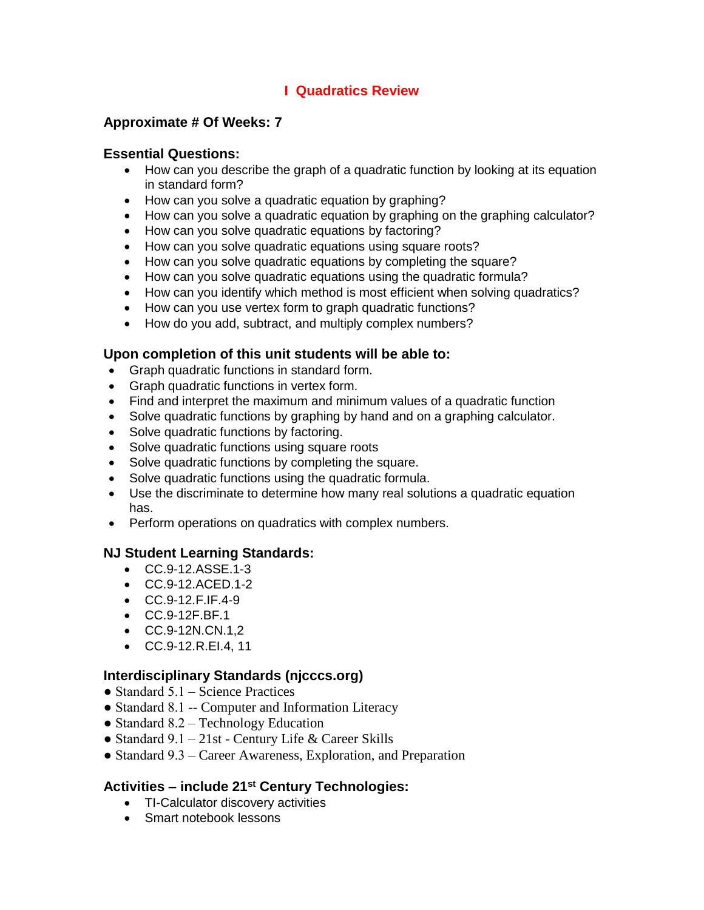# **I Quadratics Review**

# **Approximate # Of Weeks: 7**

### **Essential Questions:**

- How can you describe the graph of a quadratic function by looking at its equation in standard form?
- How can you solve a quadratic equation by graphing?
- How can you solve a quadratic equation by graphing on the graphing calculator?
- How can you solve quadratic equations by factoring?
- How can you solve quadratic equations using square roots?
- How can you solve quadratic equations by completing the square?
- How can you solve quadratic equations using the quadratic formula?
- How can you identify which method is most efficient when solving quadratics?
- How can you use vertex form to graph quadratic functions?
- How do you add, subtract, and multiply complex numbers?

# **Upon completion of this unit students will be able to:**

- Graph quadratic functions in standard form.
- Graph quadratic functions in vertex form.
- Find and interpret the maximum and minimum values of a quadratic function
- Solve quadratic functions by graphing by hand and on a graphing calculator.
- Solve quadratic functions by factoring.
- Solve quadratic functions using square roots
- Solve quadratic functions by completing the square.
- Solve quadratic functions using the quadratic formula.
- Use the discriminate to determine how many real solutions a quadratic equation has.
- Perform operations on quadratics with complex numbers.

# **NJ Student Learning Standards:**

- CC.9-12.ASSE.1-3
- CC.9-12.ACED.1-2
- CC.9-12.F.IF.4-9
- CC.9-12F.BF.1
- CC.9-12N.CN.1,2
- CC.9-12.R.EI.4, 11

# **Interdisciplinary Standards (njcccs.org)**

- Standard  $5.1$  Science Practices
- Standard 8.1 -- Computer and Information Literacy
- Standard 8.2 Technology Education
- Standard 9.1 21st Century Life & Career Skills
- Standard 9.3 Career Awareness, Exploration, and Preparation

# **Activities – include 21st Century Technologies:**

- TI-Calculator discovery activities
- Smart notebook lessons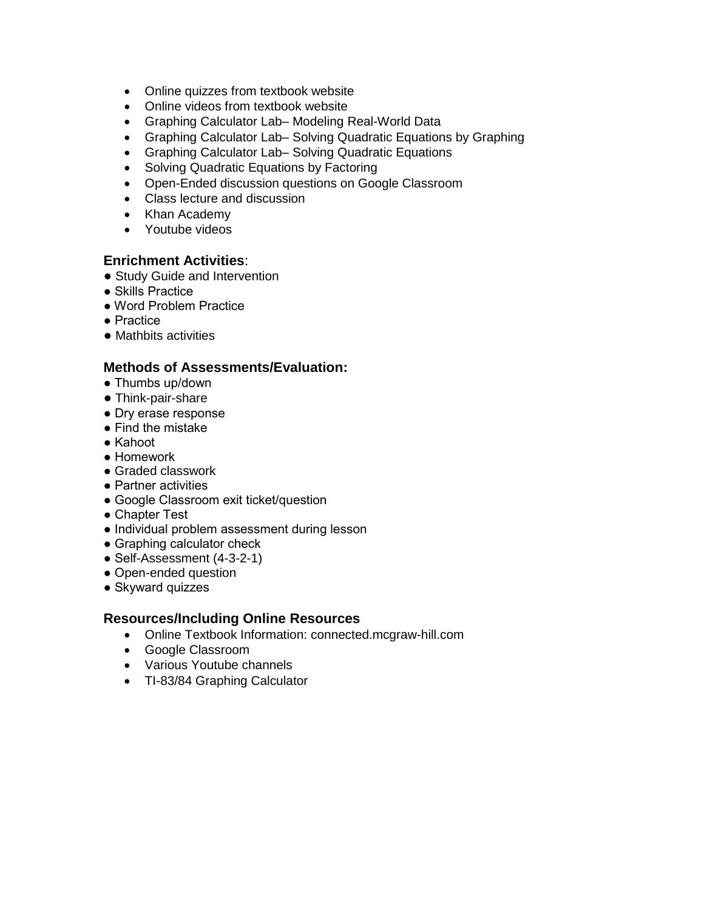- Online quizzes from textbook website
- Online videos from textbook website
- Graphing Calculator Lab– Modeling Real-World Data
- Graphing Calculator Lab– Solving Quadratic Equations by Graphing
- Graphing Calculator Lab– Solving Quadratic Equations
- Solving Quadratic Equations by Factoring
- Open-Ended discussion questions on Google Classroom
- Class lecture and discussion
- Khan Academy
- Youtube videos

# **Enrichment Activities**:

- Study Guide and Intervention
- Skills Practice
- Word Problem Practice
- Practice
- Mathbits activities

### **Methods of Assessments/Evaluation:**

- Thumbs up/down
- Think-pair-share
- Dry erase response
- Find the mistake
- Kahoot
- Homework
- Graded classwork
- Partner activities
- Google Classroom exit ticket/question
- Chapter Test
- Individual problem assessment during lesson
- Graphing calculator check
- Self-Assessment (4-3-2-1)
- Open-ended question
- Skyward quizzes

### **Resources/Including Online Resources**

- Online Textbook Information: connected.mcgraw-hill.com
- Google Classroom
- Various Youtube channels
- TI-83/84 Graphing Calculator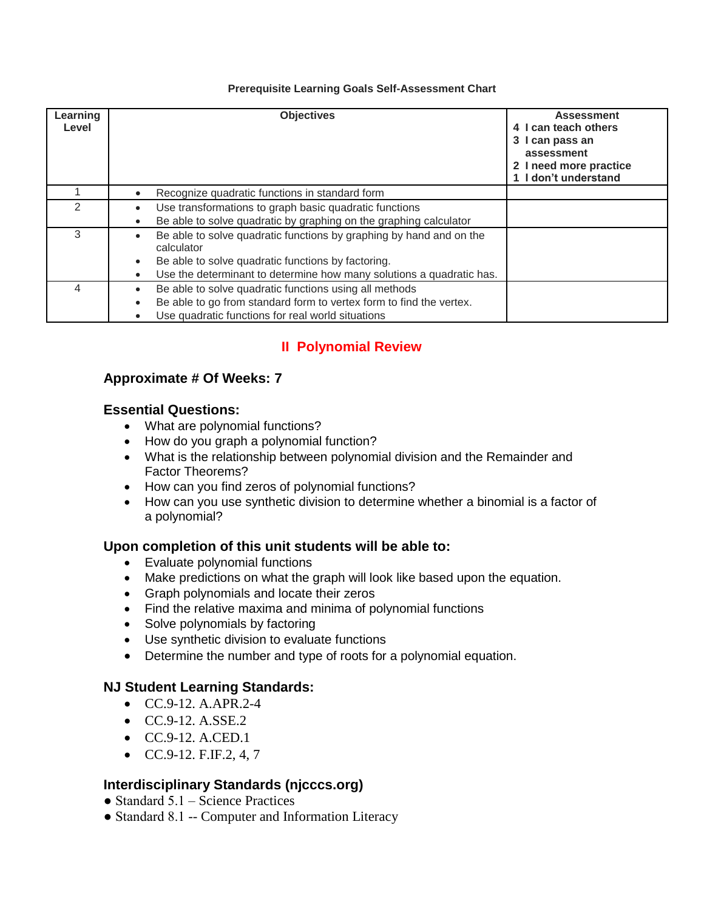#### **Prerequisite Learning Goals Self-Assessment Chart**

| Learning<br>Level | <b>Objectives</b>                                                                                                                                                                                                                         | <b>Assessment</b><br>4 I can teach others<br>3 I can pass an<br>assessment<br>2 I need more practice<br>1 I don't understand |
|-------------------|-------------------------------------------------------------------------------------------------------------------------------------------------------------------------------------------------------------------------------------------|------------------------------------------------------------------------------------------------------------------------------|
|                   | Recognize quadratic functions in standard form                                                                                                                                                                                            |                                                                                                                              |
| $\mathcal{P}$     | Use transformations to graph basic quadratic functions<br>Be able to solve quadratic by graphing on the graphing calculator                                                                                                               |                                                                                                                              |
| 3                 | Be able to solve quadratic functions by graphing by hand and on the<br>calculator<br>Be able to solve quadratic functions by factoring.<br>$\bullet$<br>Use the determinant to determine how many solutions a quadratic has.<br>$\bullet$ |                                                                                                                              |
|                   | Be able to solve quadratic functions using all methods<br>$\bullet$<br>Be able to go from standard form to vertex form to find the vertex.<br>$\bullet$<br>Use quadratic functions for real world situations                              |                                                                                                                              |

# **II Polynomial Review**

# **Approximate # Of Weeks: 7**

# **Essential Questions:**

- What are polynomial functions?
- How do you graph a polynomial function?
- What is the relationship between polynomial division and the Remainder and Factor Theorems?
- How can you find zeros of polynomial functions?
- How can you use synthetic division to determine whether a binomial is a factor of a polynomial?

# **Upon completion of this unit students will be able to:**

- Evaluate polynomial functions
- Make predictions on what the graph will look like based upon the equation.
- Graph polynomials and locate their zeros
- Find the relative maxima and minima of polynomial functions
- Solve polynomials by factoring
- Use synthetic division to evaluate functions
- Determine the number and type of roots for a polynomial equation.

# **NJ Student Learning Standards:**

- $\bullet$  CC.9-12. A.APR.2-4
- CC.9-12. A.SSE.2
- CC.9-12. A.CED.1
- $\bullet$  CC.9-12. F.IF.2, 4, 7

# **Interdisciplinary Standards (njcccs.org)**

- $\bullet$  Standard 5.1 Science Practices
- Standard 8.1 -- Computer and Information Literacy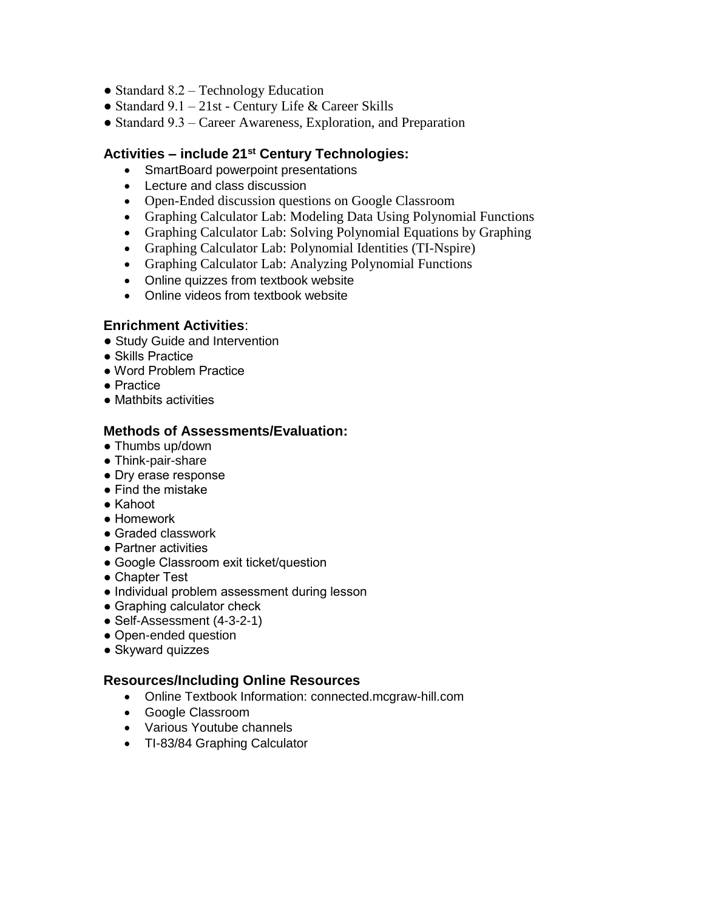- Standard 8.2 Technology Education
- Standard  $9.1 21$ st Century Life & Career Skills
- Standard 9.3 Career Awareness, Exploration, and Preparation

### **Activities – include 21st Century Technologies:**

- SmartBoard powerpoint presentations
- Lecture and class discussion
- Open-Ended discussion questions on Google Classroom
- Graphing Calculator Lab: Modeling Data Using Polynomial Functions
- Graphing Calculator Lab: Solving Polynomial Equations by Graphing
- Graphing Calculator Lab: Polynomial Identities (TI-Nspire)
- Graphing Calculator Lab: Analyzing Polynomial Functions
- Online quizzes from textbook website
- Online videos from textbook website

### **Enrichment Activities**:

- Study Guide and Intervention
- Skills Practice
- Word Problem Practice
- Practice
- Mathbits activities

### **Methods of Assessments/Evaluation:**

- Thumbs up/down
- Think-pair-share
- Dry erase response
- Find the mistake
- Kahoot
- Homework
- Graded classwork
- Partner activities
- Google Classroom exit ticket/question
- Chapter Test
- Individual problem assessment during lesson
- Graphing calculator check
- Self-Assessment (4-3-2-1)
- Open-ended question
- Skyward quizzes

### **Resources/Including Online Resources**

- Online Textbook Information: connected.mcgraw-hill.com
- Google Classroom
- Various Youtube channels
- TI-83/84 Graphing Calculator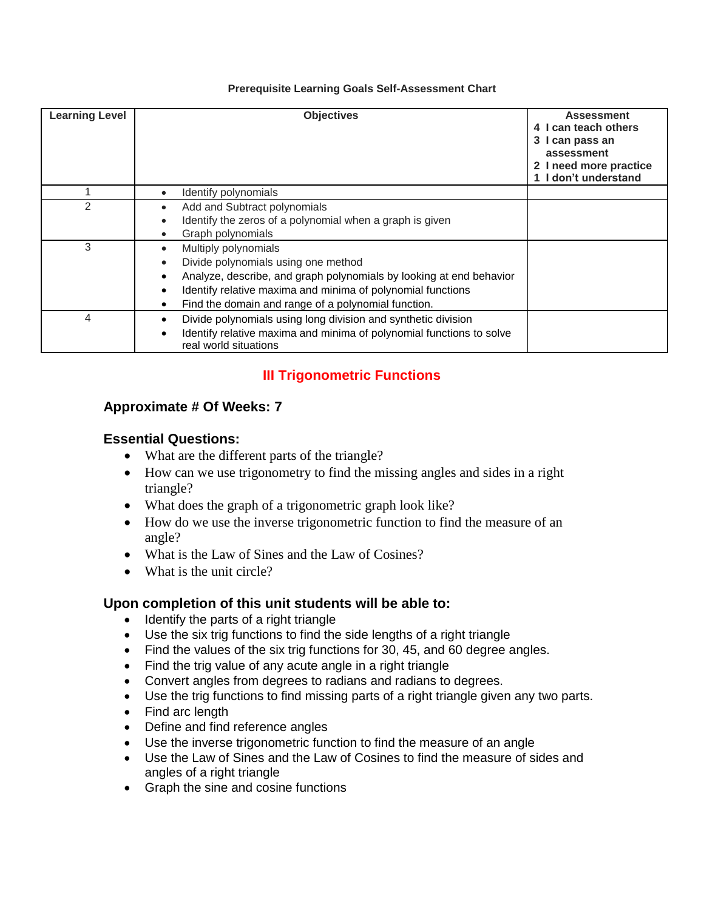#### **Prerequisite Learning Goals Self-Assessment Chart**

| <b>Learning Level</b> | <b>Objectives</b>                                                                                                                                                                                                                                                                                                 | <b>Assessment</b><br>4 I can teach others<br>3 I can pass an<br>assessment<br>2 I need more practice<br>1 I don't understand |
|-----------------------|-------------------------------------------------------------------------------------------------------------------------------------------------------------------------------------------------------------------------------------------------------------------------------------------------------------------|------------------------------------------------------------------------------------------------------------------------------|
|                       | Identify polynomials<br>$\bullet$                                                                                                                                                                                                                                                                                 |                                                                                                                              |
| $\mathfrak{p}$        | Add and Subtract polynomials<br>$\bullet$<br>Identify the zeros of a polynomial when a graph is given<br>Graph polynomials                                                                                                                                                                                        |                                                                                                                              |
| 3                     | Multiply polynomials<br>$\bullet$<br>Divide polynomials using one method<br>$\bullet$<br>Analyze, describe, and graph polynomials by looking at end behavior<br>٠<br>Identify relative maxima and minima of polynomial functions<br>$\bullet$<br>Find the domain and range of a polynomial function.<br>$\bullet$ |                                                                                                                              |
| 4                     | Divide polynomials using long division and synthetic division<br>٠<br>Identify relative maxima and minima of polynomial functions to solve<br>٠<br>real world situations                                                                                                                                          |                                                                                                                              |

# **III Trigonometric Functions**

# **Approximate # Of Weeks: 7**

### **Essential Questions:**

- What are the different parts of the triangle?
- How can we use trigonometry to find the missing angles and sides in a right triangle?
- What does the graph of a trigonometric graph look like?
- How do we use the inverse trigonometric function to find the measure of an angle?
- What is the Law of Sines and the Law of Cosines?
- What is the unit circle?

# **Upon completion of this unit students will be able to:**

- Identify the parts of a right triangle
- Use the six trig functions to find the side lengths of a right triangle
- Find the values of the six trig functions for 30, 45, and 60 degree angles.
- Find the trig value of any acute angle in a right triangle
- Convert angles from degrees to radians and radians to degrees.
- Use the trig functions to find missing parts of a right triangle given any two parts.
- Find arc length
- Define and find reference angles
- Use the inverse trigonometric function to find the measure of an angle
- Use the Law of Sines and the Law of Cosines to find the measure of sides and angles of a right triangle
- Graph the sine and cosine functions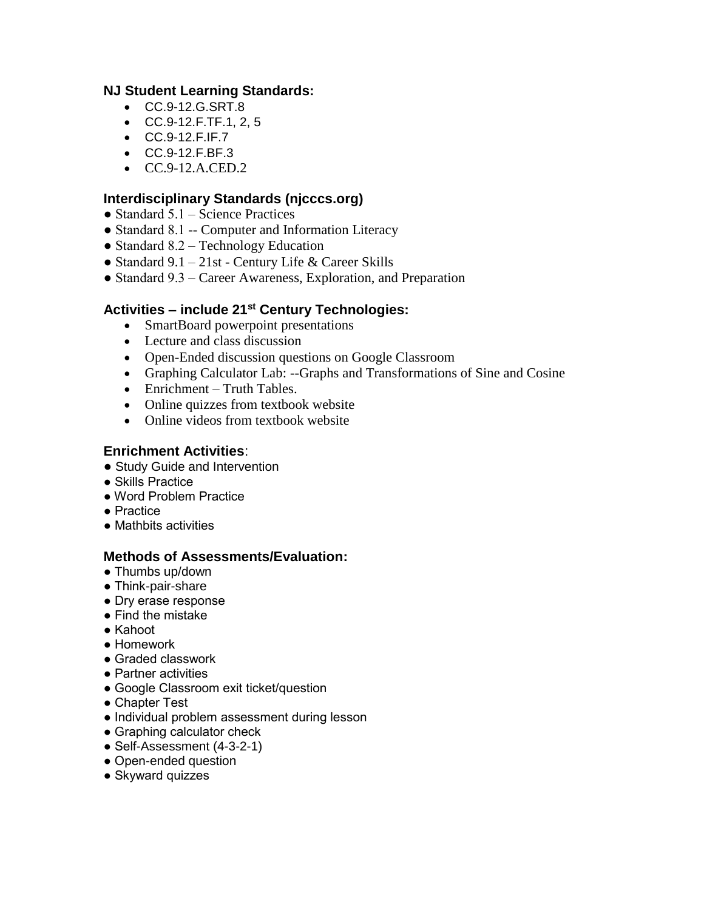# **NJ Student Learning Standards:**

- CC.9-12.G.SRT.8
- CC.9-12.F.TF.1, 2, 5
- CC.9-12.F.IF.7
- CC.9-12.F.BF.3
- CC.9-12.A.CED.2

# **Interdisciplinary Standards (njcccs.org)**

- $\bullet$  Standard 5.1 Science Practices
- Standard 8.1 -- Computer and Information Literacy
- Standard 8.2 Technology Education
- Standard 9.1 21st Century Life & Career Skills
- Standard 9.3 Career Awareness, Exploration, and Preparation

# **Activities – include 21st Century Technologies:**

- SmartBoard powerpoint presentations
- Lecture and class discussion
- Open-Ended discussion questions on Google Classroom
- Graphing Calculator Lab: --Graphs and Transformations of Sine and Cosine
- Enrichment Truth Tables.
- Online quizzes from textbook website
- Online videos from textbook website

# **Enrichment Activities**:

- Study Guide and Intervention
- Skills Practice
- Word Problem Practice
- Practice
- Mathbits activities

### **Methods of Assessments/Evaluation:**

- Thumbs up/down
- Think-pair-share
- Dry erase response
- Find the mistake
- Kahoot
- Homework
- Graded classwork
- Partner activities
- Google Classroom exit ticket/question
- Chapter Test
- Individual problem assessment during lesson
- Graphing calculator check
- Self-Assessment (4-3-2-1)
- Open-ended question
- Skyward quizzes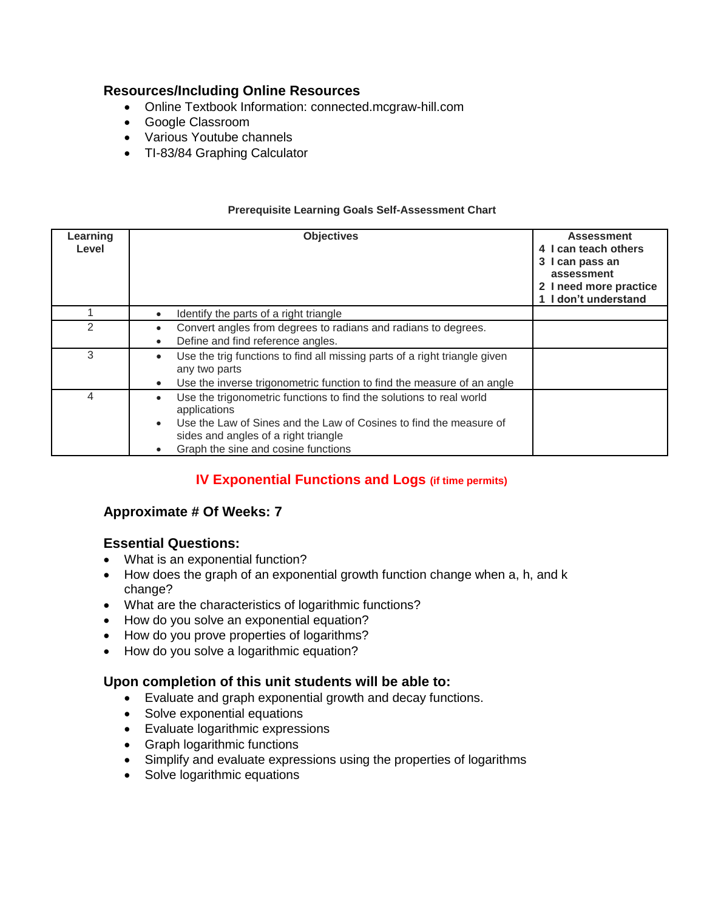# **Resources/Including Online Resources**

- Online Textbook Information: connected.mcgraw-hill.com
- Google Classroom
- Various Youtube channels
- TI-83/84 Graphing Calculator

| Learning<br>Level | <b>Objectives</b>                                                                                                                                                                                                                        | <b>Assessment</b><br>4 I can teach others<br>3 I can pass an<br>assessment<br>2 I need more practice<br>1 I don't understand |
|-------------------|------------------------------------------------------------------------------------------------------------------------------------------------------------------------------------------------------------------------------------------|------------------------------------------------------------------------------------------------------------------------------|
|                   | Identify the parts of a right triangle                                                                                                                                                                                                   |                                                                                                                              |
| 2                 | Convert angles from degrees to radians and radians to degrees.<br>Define and find reference angles.                                                                                                                                      |                                                                                                                              |
| 3                 | Use the trig functions to find all missing parts of a right triangle given<br>any two parts<br>Use the inverse trigonometric function to find the measure of an angle                                                                    |                                                                                                                              |
| 4                 | Use the trigonometric functions to find the solutions to real world<br>applications<br>Use the Law of Sines and the Law of Cosines to find the measure of<br>sides and angles of a right triangle<br>Graph the sine and cosine functions |                                                                                                                              |

#### **Prerequisite Learning Goals Self-Assessment Chart**

# **IV Exponential Functions and Logs (if time permits)**

# **Approximate # Of Weeks: 7**

# **Essential Questions:**

- What is an exponential function?
- How does the graph of an exponential growth function change when a, h, and k change?
- What are the characteristics of logarithmic functions?
- How do you solve an exponential equation?
- How do you prove properties of logarithms?
- How do you solve a logarithmic equation?

### **Upon completion of this unit students will be able to:**

- Evaluate and graph exponential growth and decay functions.
- Solve exponential equations
- Evaluate logarithmic expressions
- Graph logarithmic functions
- Simplify and evaluate expressions using the properties of logarithms
- Solve logarithmic equations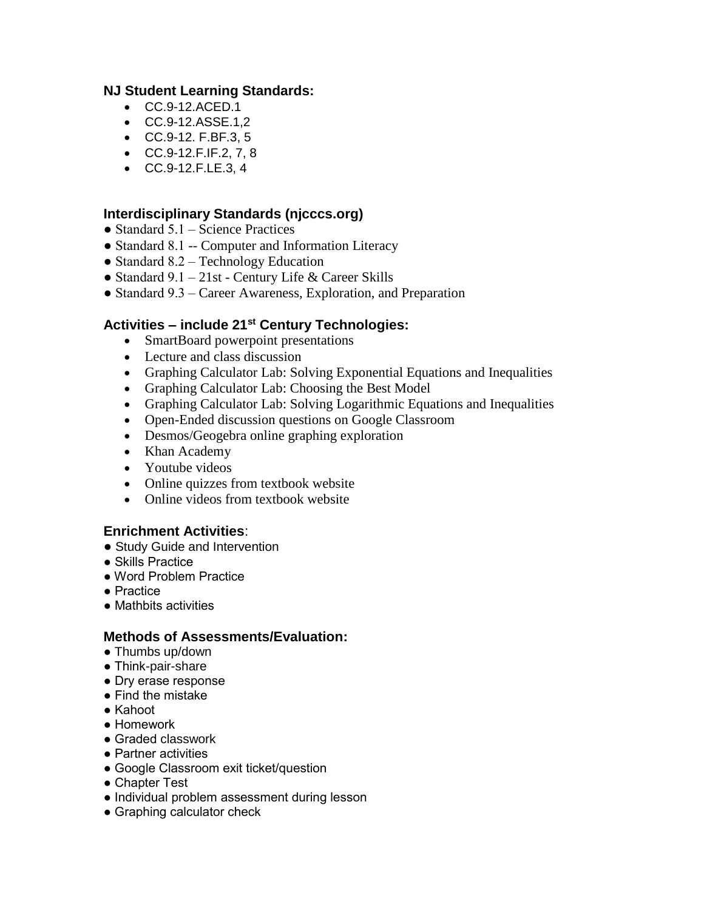# **NJ Student Learning Standards:**

- CC.9-12.ACED.1
- CC.9-12.ASSE.1,2
- CC.9-12. F.BF.3, 5
- CC.9-12.F.IF.2, 7, 8
- CC.9-12.F.LE.3, 4

# **Interdisciplinary Standards (njcccs.org)**

- $\bullet$  Standard 5.1 Science Practices
- Standard 8.1 -- Computer and Information Literacy
- Standard 8.2 Technology Education
- Standard  $9.1 21$ st Century Life & Career Skills
- Standard 9.3 Career Awareness, Exploration, and Preparation

### **Activities – include 21st Century Technologies:**

- SmartBoard powerpoint presentations
- Lecture and class discussion
- Graphing Calculator Lab: Solving Exponential Equations and Inequalities
- Graphing Calculator Lab: Choosing the Best Model
- Graphing Calculator Lab: Solving Logarithmic Equations and Inequalities
- Open-Ended discussion questions on Google Classroom
- Desmos/Geogebra online graphing exploration
- Khan Academy
- Youtube videos
- Online quizzes from textbook website
- Online videos from textbook website

### **Enrichment Activities**:

- Study Guide and Intervention
- Skills Practice
- Word Problem Practice
- Practice
- Mathbits activities

### **Methods of Assessments/Evaluation:**

- Thumbs up/down
- Think-pair-share
- Dry erase response
- Find the mistake
- Kahoot
- Homework
- Graded classwork
- Partner activities
- Google Classroom exit ticket/question
- Chapter Test
- Individual problem assessment during lesson
- Graphing calculator check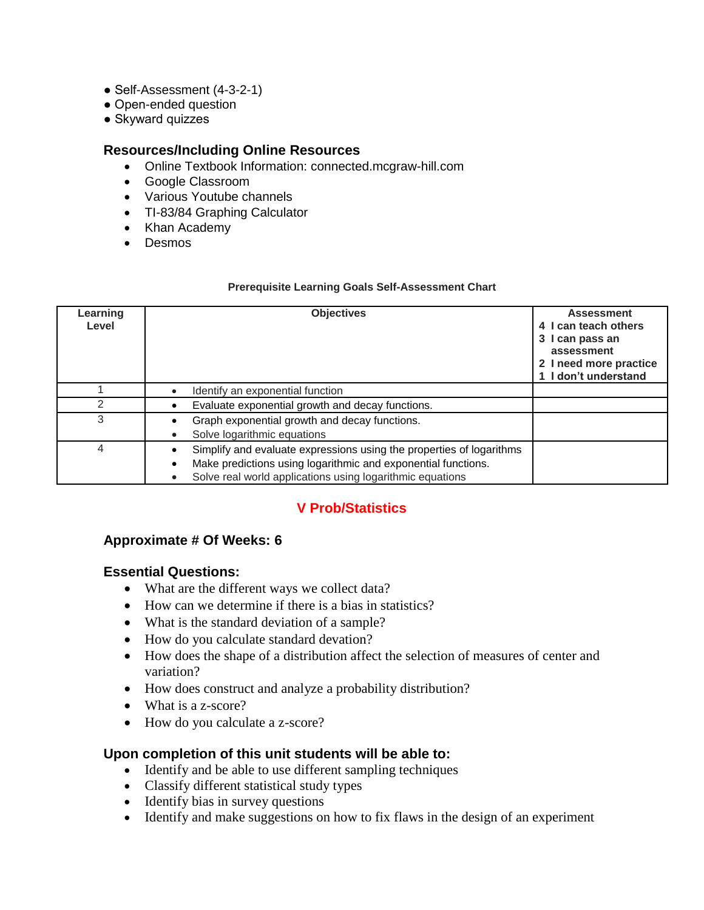- Self-Assessment (4-3-2-1)
- Open-ended question
- Skyward quizzes

### **Resources/Including Online Resources**

- Online Textbook Information: connected.mcgraw-hill.com
- Google Classroom
- Various Youtube channels
- TI-83/84 Graphing Calculator
- Khan Academy
- Desmos

#### **Prerequisite Learning Goals Self-Assessment Chart**

| Learning<br>Level | <b>Objectives</b>                                                                                                                                                                                               | <b>Assessment</b><br>4 I can teach others<br>3 I can pass an<br>assessment<br>2 I need more practice<br>I don't understand |
|-------------------|-----------------------------------------------------------------------------------------------------------------------------------------------------------------------------------------------------------------|----------------------------------------------------------------------------------------------------------------------------|
|                   | Identify an exponential function                                                                                                                                                                                |                                                                                                                            |
| 2                 | Evaluate exponential growth and decay functions.                                                                                                                                                                |                                                                                                                            |
| 3                 | Graph exponential growth and decay functions.<br>Solve logarithmic equations<br>٠                                                                                                                               |                                                                                                                            |
| 4                 | Simplify and evaluate expressions using the properties of logarithms<br>Make predictions using logarithmic and exponential functions.<br>$\bullet$<br>Solve real world applications using logarithmic equations |                                                                                                                            |

# **V Prob/Statistics**

# **Approximate # Of Weeks: 6**

# **Essential Questions:**

- What are the different ways we collect data?
- How can we determine if there is a bias in statistics?
- What is the standard deviation of a sample?
- How do you calculate standard devation?
- How does the shape of a distribution affect the selection of measures of center and variation?
- How does construct and analyze a probability distribution?
- What is a z-score?
- How do you calculate a z-score?

# **Upon completion of this unit students will be able to:**

- Identify and be able to use different sampling techniques
- Classify different statistical study types
- Identify bias in survey questions
- Identify and make suggestions on how to fix flaws in the design of an experiment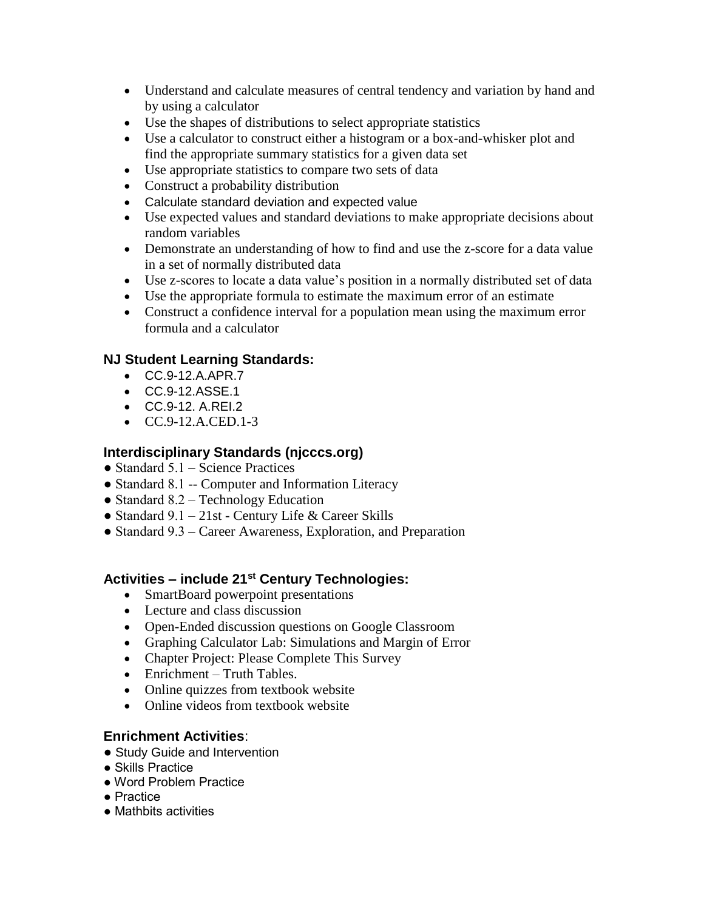- Understand and calculate measures of central tendency and variation by hand and by using a calculator
- Use the shapes of distributions to select appropriate statistics
- Use a calculator to construct either a histogram or a box-and-whisker plot and find the appropriate summary statistics for a given data set
- Use appropriate statistics to compare two sets of data
- Construct a probability distribution
- Calculate standard deviation and expected value
- Use expected values and standard deviations to make appropriate decisions about random variables
- Demonstrate an understanding of how to find and use the z-score for a data value in a set of normally distributed data
- Use z-scores to locate a data value's position in a normally distributed set of data
- Use the appropriate formula to estimate the maximum error of an estimate
- Construct a confidence interval for a population mean using the maximum error formula and a calculator

# **NJ Student Learning Standards:**

- CC.9-12.A.APR.7
- CC.9-12.ASSE.1
- CC.9-12. A.REI.2
- $\bullet$  CC.9-12.A.CED.1-3

# **Interdisciplinary Standards (njcccs.org)**

- $\bullet$  Standard 5.1 Science Practices
- Standard 8.1 -- Computer and Information Literacy
- Standard  $8.2$  Technology Education
- Standard 9.1 21st Century Life & Career Skills
- Standard 9.3 Career Awareness, Exploration, and Preparation

# **Activities – include 21st Century Technologies:**

- SmartBoard powerpoint presentations
- Lecture and class discussion
- Open-Ended discussion questions on Google Classroom
- Graphing Calculator Lab: Simulations and Margin of Error
- Chapter Project: Please Complete This Survey
- Enrichment Truth Tables.
- Online quizzes from textbook website
- Online videos from textbook website

# **Enrichment Activities**:

- Study Guide and Intervention
- Skills Practice
- Word Problem Practice
- Practice
- Mathbits activities